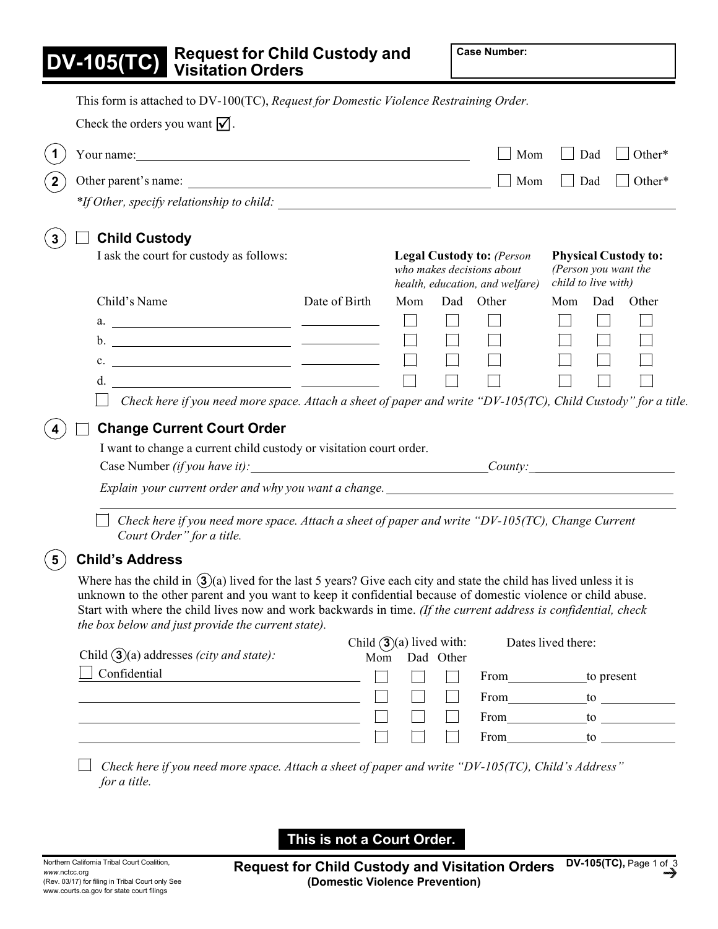| DV | -105( | T<br>Π |  |
|----|-------|--------|--|
|    |       |        |  |

|                                                                                                                                                                                                                                                                                                                                                                                                                                                                                                                                                                                                 |               |                            |                                                                                                                                                                                | Mom                                                                                                                                                                                                                            | Dad                | Other*    |
|-------------------------------------------------------------------------------------------------------------------------------------------------------------------------------------------------------------------------------------------------------------------------------------------------------------------------------------------------------------------------------------------------------------------------------------------------------------------------------------------------------------------------------------------------------------------------------------------------|---------------|----------------------------|--------------------------------------------------------------------------------------------------------------------------------------------------------------------------------|--------------------------------------------------------------------------------------------------------------------------------------------------------------------------------------------------------------------------------|--------------------|-----------|
| Other parent's name:                                                                                                                                                                                                                                                                                                                                                                                                                                                                                                                                                                            |               |                            |                                                                                                                                                                                | Mom                                                                                                                                                                                                                            | Dad                | Other*    |
|                                                                                                                                                                                                                                                                                                                                                                                                                                                                                                                                                                                                 |               |                            |                                                                                                                                                                                |                                                                                                                                                                                                                                |                    |           |
| <b>Child Custody</b>                                                                                                                                                                                                                                                                                                                                                                                                                                                                                                                                                                            |               |                            |                                                                                                                                                                                |                                                                                                                                                                                                                                |                    |           |
| I ask the court for custody as follows:                                                                                                                                                                                                                                                                                                                                                                                                                                                                                                                                                         |               |                            | <b>Legal Custody to: (Person</b><br><b>Physical Custody to:</b><br>who makes decisions about<br>(Person you want the<br>child to live with)<br>health, education, and welfare) |                                                                                                                                                                                                                                |                    |           |
| Child's Name                                                                                                                                                                                                                                                                                                                                                                                                                                                                                                                                                                                    | Date of Birth | Mom                        |                                                                                                                                                                                | Dad Other                                                                                                                                                                                                                      | Mom                | Dad Other |
| a. $\qquad \qquad$                                                                                                                                                                                                                                                                                                                                                                                                                                                                                                                                                                              |               | $\Box$                     |                                                                                                                                                                                |                                                                                                                                                                                                                                |                    |           |
|                                                                                                                                                                                                                                                                                                                                                                                                                                                                                                                                                                                                 |               |                            | $\Box$                                                                                                                                                                         |                                                                                                                                                                                                                                |                    |           |
| c. $\qquad \qquad$                                                                                                                                                                                                                                                                                                                                                                                                                                                                                                                                                                              |               |                            |                                                                                                                                                                                |                                                                                                                                                                                                                                |                    |           |
| d. $\overline{\phantom{a}}$                                                                                                                                                                                                                                                                                                                                                                                                                                                                                                                                                                     |               |                            |                                                                                                                                                                                |                                                                                                                                                                                                                                |                    |           |
|                                                                                                                                                                                                                                                                                                                                                                                                                                                                                                                                                                                                 |               |                            |                                                                                                                                                                                |                                                                                                                                                                                                                                |                    |           |
| Check here if you need more space. Attach a sheet of paper and write "DV-105(TC), Child Custody" for a title.<br><b>Change Current Court Order</b>                                                                                                                                                                                                                                                                                                                                                                                                                                              |               |                            |                                                                                                                                                                                |                                                                                                                                                                                                                                |                    |           |
| I want to change a current child custody or visitation court order.                                                                                                                                                                                                                                                                                                                                                                                                                                                                                                                             |               |                            |                                                                                                                                                                                |                                                                                                                                                                                                                                |                    |           |
| Explain your current order and why you want a change. ___________________________<br>Check here if you need more space. Attach a sheet of paper and write "DV-105(TC), Change Current<br>Court Order" for a title.                                                                                                                                                                                                                                                                                                                                                                              |               |                            |                                                                                                                                                                                |                                                                                                                                                                                                                                |                    |           |
| <b>Child's Address</b>                                                                                                                                                                                                                                                                                                                                                                                                                                                                                                                                                                          |               |                            |                                                                                                                                                                                |                                                                                                                                                                                                                                |                    |           |
|                                                                                                                                                                                                                                                                                                                                                                                                                                                                                                                                                                                                 |               |                            |                                                                                                                                                                                |                                                                                                                                                                                                                                |                    |           |
|                                                                                                                                                                                                                                                                                                                                                                                                                                                                                                                                                                                                 | Mom           | Child $(3)(a)$ lived with: | Dad Other                                                                                                                                                                      |                                                                                                                                                                                                                                | Dates lived there: |           |
| Confidential                                                                                                                                                                                                                                                                                                                                                                                                                                                                                                                                                                                    |               |                            |                                                                                                                                                                                | From to present                                                                                                                                                                                                                |                    |           |
| <u> 1989 - Johann Barnett, fransk politiker (</u><br><u> 1989 - Johann Barn, amerikansk politiker (d. 1989)</u>                                                                                                                                                                                                                                                                                                                                                                                                                                                                                 |               |                            |                                                                                                                                                                                | From to to the contract of the contract of the contract of the contract of the contract of the contract of the contract of the contract of the contract of the contract of the contract of the contract of the contract of the |                    |           |
| Where has the child in $(3)(a)$ lived for the last 5 years? Give each city and state the child has lived unless it is<br>unknown to the other parent and you want to keep it confidential because of domestic violence or child abuse.<br>Start with where the child lives now and work backwards in time. (If the current address is confidential, check<br>the box below and just provide the current state).<br>Child $(3)(a)$ addresses <i>(city and state)</i> :<br><u> 1989 - Johann Barn, mars ann an t-Amhain Aonaich an t-Aonaich an t-Aonaich an t-Aonaich an t-Aonaich ann an t-</u> |               |                            |                                                                                                                                                                                | From to the same way                                                                                                                                                                                                           |                    |           |

**This is not a Court Order.**

**Request for Child Custody and Visitation Orders (Domestic Violence Prevention) DV-105(TC),** Page 1 of 3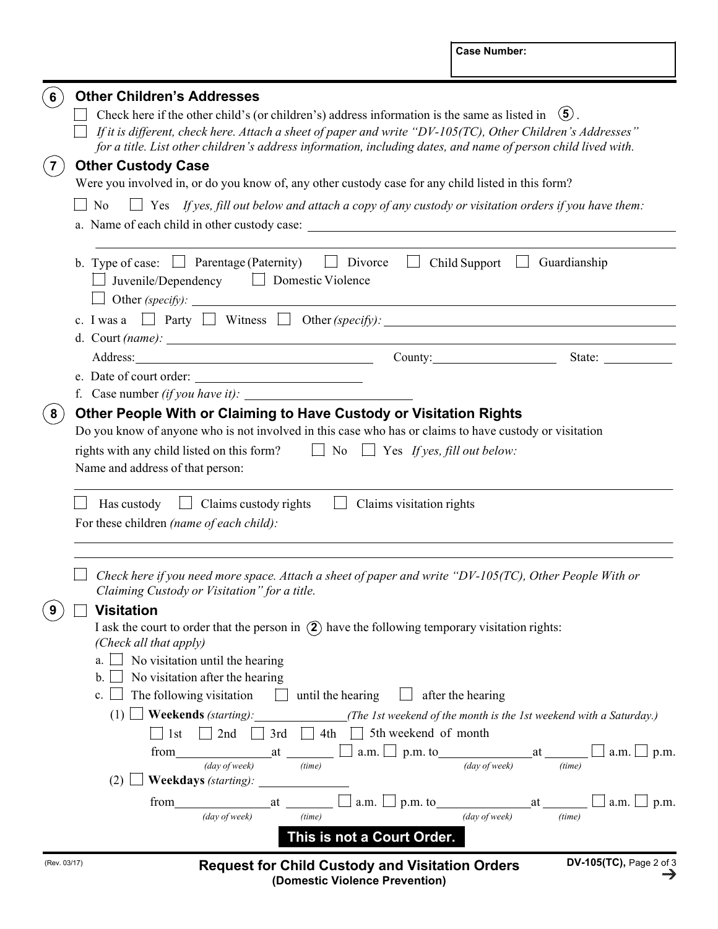| $6\phantom{1}$ | <b>Other Children's Addresses</b>                                                                                                                                                                                           |  |  |  |  |  |  |
|----------------|-----------------------------------------------------------------------------------------------------------------------------------------------------------------------------------------------------------------------------|--|--|--|--|--|--|
|                | Check here if the other child's (or children's) address information is the same as listed in $(5)$ .                                                                                                                        |  |  |  |  |  |  |
|                | If it is different, check here. Attach a sheet of paper and write "DV-105(TC), Other Children's Addresses"<br>for a title. List other children's address information, including dates, and name of person child lived with. |  |  |  |  |  |  |
| (7)            | <b>Other Custody Case</b>                                                                                                                                                                                                   |  |  |  |  |  |  |
|                | Were you involved in, or do you know of, any other custody case for any child listed in this form?                                                                                                                          |  |  |  |  |  |  |
|                | N <sub>0</sub><br>$\Box$ Yes If yes, fill out below and attach a copy of any custody or visitation orders if you have them:                                                                                                 |  |  |  |  |  |  |
|                |                                                                                                                                                                                                                             |  |  |  |  |  |  |
|                | b. Type of case: $\Box$ Parentage (Paternity) $\Box$ Divorce<br>$\Box$ Child Support $\Box$ Guardianship<br>$\Box$ Juvenile/Dependency $\Box$ Domestic Violence                                                             |  |  |  |  |  |  |
|                |                                                                                                                                                                                                                             |  |  |  |  |  |  |
|                | d. Court $(name):$                                                                                                                                                                                                          |  |  |  |  |  |  |
|                | State:                                                                                                                                                                                                                      |  |  |  |  |  |  |
|                | e. Date of court order:                                                                                                                                                                                                     |  |  |  |  |  |  |
|                | f. Case number $(if you have it)$ :                                                                                                                                                                                         |  |  |  |  |  |  |
| 8 <sup>2</sup> | Other People With or Claiming to Have Custody or Visitation Rights                                                                                                                                                          |  |  |  |  |  |  |
|                | Do you know of anyone who is not involved in this case who has or claims to have custody or visitation                                                                                                                      |  |  |  |  |  |  |
|                | rights with any child listed on this form? $\Box$ No $\Box$ Yes If yes, fill out below:                                                                                                                                     |  |  |  |  |  |  |
|                | Name and address of that person:                                                                                                                                                                                            |  |  |  |  |  |  |
|                |                                                                                                                                                                                                                             |  |  |  |  |  |  |
|                | Claims visitation rights<br>Has custody $\Box$ Claims custody rights<br>$\Box$                                                                                                                                              |  |  |  |  |  |  |
|                | For these children (name of each child):                                                                                                                                                                                    |  |  |  |  |  |  |
|                |                                                                                                                                                                                                                             |  |  |  |  |  |  |
|                | Check here if you need more space. Attach a sheet of paper and write " $DV-105(TC)$ , Other People With or<br>Claiming Custody or Visitation" for a title.                                                                  |  |  |  |  |  |  |
| 9 <sub>l</sub> | $\Box$ Visitation                                                                                                                                                                                                           |  |  |  |  |  |  |
|                | I ask the court to order that the person in $(2)$ have the following temporary visitation rights:                                                                                                                           |  |  |  |  |  |  |
|                | (Check all that apply)                                                                                                                                                                                                      |  |  |  |  |  |  |
|                | No visitation until the hearing<br>a.                                                                                                                                                                                       |  |  |  |  |  |  |
|                | No visitation after the hearing<br>$\mathbf{b}$ .<br>The following visitation $\Box$ until the hearing $\Box$ after the hearing<br>$c_{\cdot}$                                                                              |  |  |  |  |  |  |
|                |                                                                                                                                                                                                                             |  |  |  |  |  |  |
|                | $\perp$ Weekends (starting): The 1st weekend of the month is the 1st weekend with a Saturday.)<br>(1)<br>$\Box$ 3rd $\Box$ 4th $\Box$ 5th weekend of month                                                                  |  |  |  |  |  |  |
|                | 1st<br>$\vert$ 2nd $\vert$<br>$a.m. \bigsqcup p.m.$<br>from                                                                                                                                                                 |  |  |  |  |  |  |
|                | at $\frac{1}{(time)}$ a.m. p.m. to $\frac{1}{(day \text{ of week})}$ at $\frac{1}{(time)}$<br>(day of week)<br>(time)                                                                                                       |  |  |  |  |  |  |
|                | $\Box$ Weekdays (starting): $\Box$<br>(2)1                                                                                                                                                                                  |  |  |  |  |  |  |
|                | from at<br>$a.m. \Box p.m.$ to $at \Box$<br>$\Box$ a.m. $\Box$ p.m.                                                                                                                                                         |  |  |  |  |  |  |
|                | (day of week)<br>(day of week)<br>(time)<br>(time)                                                                                                                                                                          |  |  |  |  |  |  |
|                | This is not a Court Order.                                                                                                                                                                                                  |  |  |  |  |  |  |
| (Rev. 03/17)   | DV-105(TC), Page 2 of 3                                                                                                                                                                                                     |  |  |  |  |  |  |
|                | <b>Request for Child Custody and Visitation Orders</b><br>™∲<br>(Domestic Violence Prevention)                                                                                                                              |  |  |  |  |  |  |